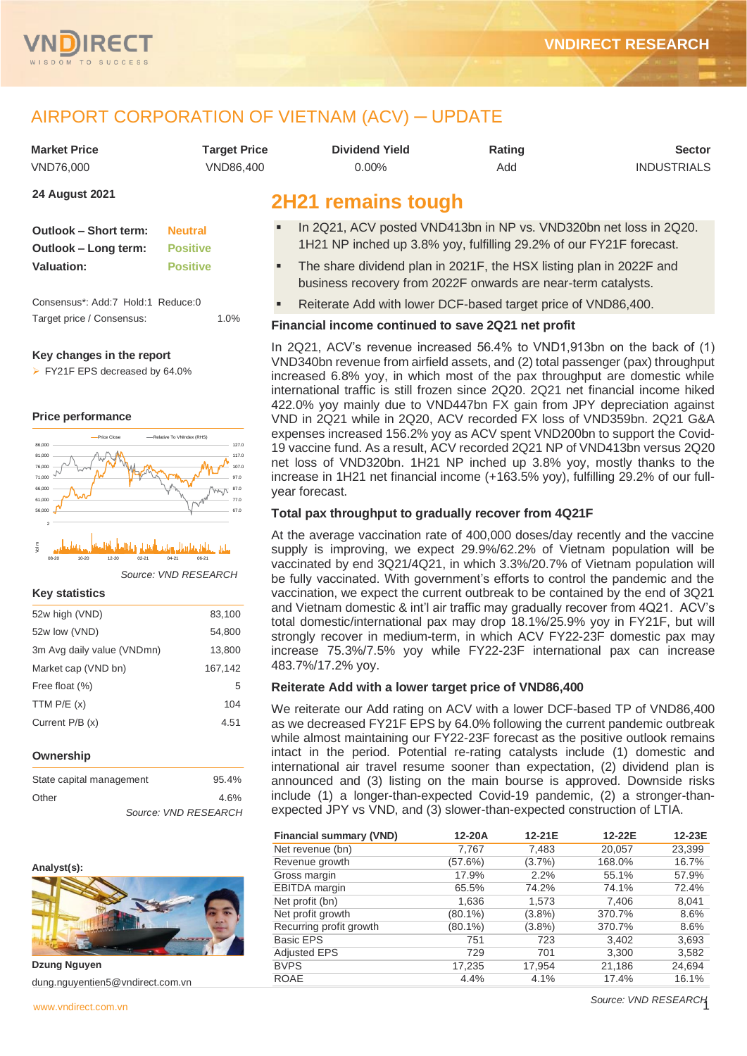

## AIRPORT CORPORATION OF VIETNAM (ACV) ─ UPDATE

| Market Price | <b>Target Price</b> | <b>Dividend Yield</b> | Rating | <b>Sector</b>      |
|--------------|---------------------|-----------------------|--------|--------------------|
| VND76.000    | VND86.400           | $0.00\%$              | Add    | <b>INDUSTRIALS</b> |

#### **24 August 2021**

| Outlook – Short term: | <b>Neutral</b>  |
|-----------------------|-----------------|
| Outlook – Long term:  | <b>Positive</b> |
| <b>Valuation:</b>     | <b>Positive</b> |
|                       |                 |

Consensus\*: Add:7 Hold:1 Reduce:0 Target price / Consensus: 1.0%

#### **Key changes in the report**

➢ FY21F EPS decreased by 64.0%

#### **Price performance**





*Source: VND RESEARCH*

#### **Key statistics**

| 52w high (VND)             | 83,100  |
|----------------------------|---------|
| 52w low (VND)              | 54,800  |
| 3m Avg daily value (VNDmn) | 13,800  |
| Market cap (VND bn)        | 167,142 |
| Free float (%)             | 5       |
| TTM $P/E(x)$               | 104     |
| Current $P/B(x)$           | 4.51    |
|                            |         |

#### **Ownership**

| State capital management | 95.4%                |
|--------------------------|----------------------|
| Other                    | 4.6%                 |
|                          | Source: VND RESEARCH |



**Dzung Nguyen** dung.nguyentien5@vndirect.com.vn

## **2H21 remains tough**

- In 2Q21, ACV posted VND413bn in NP vs. VND320bn net loss in 2Q20. 1H21 NP inched up 3.8% yoy, fulfilling 29.2% of our FY21F forecast.
- The share dividend plan in 2021F, the HSX listing plan in 2022F and business recovery from 2022F onwards are near-term catalysts.
- Reiterate Add with lower DCF-based target price of VND86,400.

#### **Financial income continued to save 2Q21 net profit**

In 2Q21, ACV's revenue increased 56.4% to VND1,913bn on the back of (1) VND340bn revenue from airfield assets, and (2) total passenger (pax) throughput increased 6.8% yoy, in which most of the pax throughput are domestic while international traffic is still frozen since 2Q20. 2Q21 net financial income hiked 422.0% yoy mainly due to VND447bn FX gain from JPY depreciation against VND in 2Q21 while in 2Q20, ACV recorded FX loss of VND359bn. 2Q21 G&A expenses increased 156.2% yoy as ACV spent VND200bn to support the Covid-19 vaccine fund. As a result, ACV recorded 2Q21 NP of VND413bn versus 2Q20 net loss of VND320bn. 1H21 NP inched up 3.8% yoy, mostly thanks to the increase in 1H21 net financial income (+163.5% yoy), fulfilling 29.2% of our fullyear forecast.

#### **Total pax throughput to gradually recover from 4Q21F**

At the average vaccination rate of 400,000 doses/day recently and the vaccine supply is improving, we expect 29.9%/62.2% of Vietnam population will be vaccinated by end 3Q21/4Q21, in which 3.3%/20.7% of Vietnam population will be fully vaccinated. With government's efforts to control the pandemic and the vaccination, we expect the current outbreak to be contained by the end of 3Q21 and Vietnam domestic & int'l air traffic may gradually recover from 4Q21. ACV's total domestic/international pax may drop 18.1%/25.9% yoy in FY21F, but will strongly recover in medium-term, in which ACV FY22-23F domestic pax may increase 75.3%/7.5% yoy while FY22-23F international pax can increase 483.7%/17.2% yoy.

#### **Reiterate Add with a lower target price of VND86,400**

We reiterate our Add rating on ACV with a lower DCF-based TP of VND86,400 as we decreased FY21F EPS by 64.0% following the current pandemic outbreak while almost maintaining our FY22-23F forecast as the positive outlook remains intact in the period. Potential re-rating catalysts include (1) domestic and international air travel resume sooner than expectation, (2) dividend plan is announced and (3) listing on the main bourse is approved. Downside risks include (1) a longer-than-expected Covid-19 pandemic, (2) a stronger-thanexpected JPY vs VND, and (3) slower-than-expected construction of LTIA.

| <b>Financial summary (VND)</b> | 12-20A  | 12-21E    | 12-22E | 12-23E |
|--------------------------------|---------|-----------|--------|--------|
| Net revenue (bn)               | 7,767   | 7,483     | 20,057 | 23,399 |
| Revenue growth                 | (57.6%) | $(3.7\%)$ | 168.0% | 16.7%  |
| Gross margin                   | 17.9%   | 2.2%      | 55.1%  | 57.9%  |
| <b>EBITDA</b> margin           | 65.5%   | 74.2%     | 74.1%  | 72.4%  |
| Net profit (bn)                | 1,636   | 1,573     | 7,406  | 8,041  |
| Net profit growth              | (80.1%) | $(3.8\%)$ | 370.7% | 8.6%   |
| Recurring profit growth        | (80.1%) | $(3.8\%)$ | 370.7% | 8.6%   |
| <b>Basic EPS</b>               | 751     | 723       | 3,402  | 3,693  |
| <b>Adjusted EPS</b>            | 729     | 701       | 3,300  | 3,582  |
| <b>BVPS</b>                    | 17,235  | 17,954    | 21,186 | 24,694 |
| <b>ROAE</b>                    | 4.4%    | 4.1%      | 17.4%  | 16.1%  |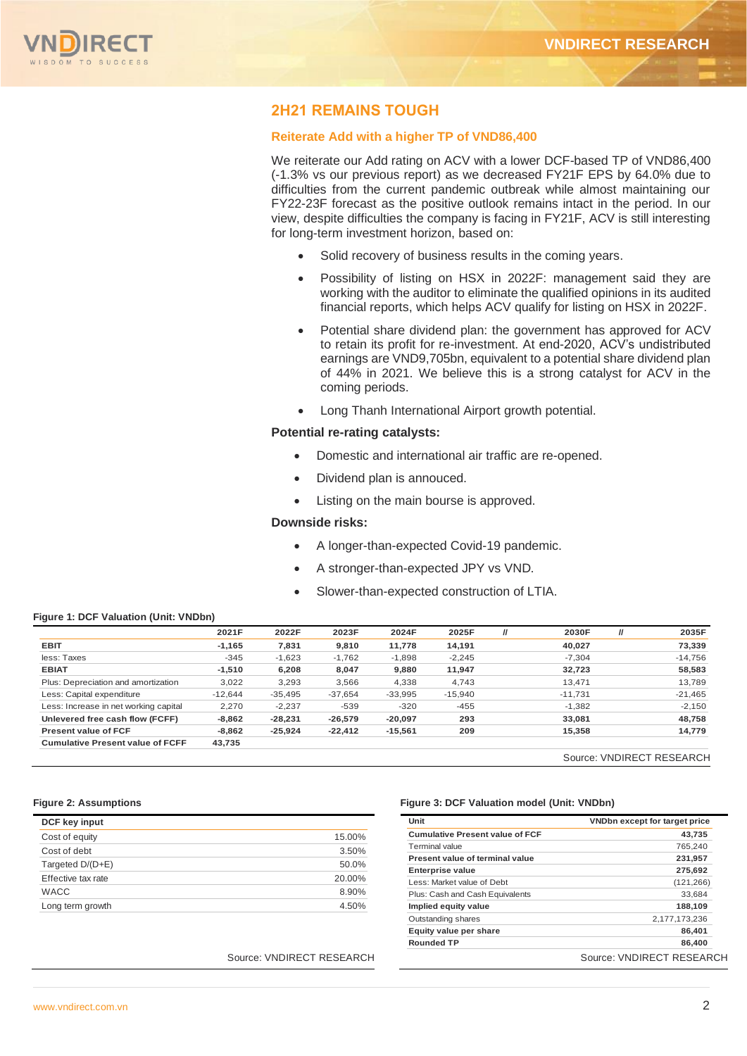

## **2H21 REMAINS TOUGH**

#### **Reiterate Add with a higher TP of VND86,400**

We reiterate our Add rating on ACV with a lower DCF-based TP of VND86,400 (-1.3% vs our previous report) as we decreased FY21F EPS by 64.0% due to difficulties from the current pandemic outbreak while almost maintaining our FY22-23F forecast as the positive outlook remains intact in the period. In our view, despite difficulties the company is facing in FY21F, ACV is still interesting for long-term investment horizon, based on:

- Solid recovery of business results in the coming years.
- Possibility of listing on HSX in 2022F: management said they are working with the auditor to eliminate the qualified opinions in its audited financial reports, which helps ACV qualify for listing on HSX in 2022F.
- Potential share dividend plan: the government has approved for ACV to retain its profit for re-investment. At end-2020, ACV's undistributed earnings are VND9,705bn, equivalent to a potential share dividend plan of 44% in 2021. We believe this is a strong catalyst for ACV in the coming periods.
- Long Thanh International Airport growth potential.

#### **Potential re-rating catalysts:**

- Domestic and international air traffic are re-opened.
- Dividend plan is annouced.
- Listing on the main bourse is approved.

#### **Downside risks:**

- A longer-than-expected Covid-19 pandemic.
- A stronger-than-expected JPY vs VND.
- Slower-than-expected construction of LTIA.

#### **Figure 1: DCF Valuation (Unit: VNDbn)**

|                                         | 2021F     | 2022F     | 2023F     | 2024F     | 2025F     | $\mathcal{U}$ | 2030F     | $\prime$ | 2035F     |
|-----------------------------------------|-----------|-----------|-----------|-----------|-----------|---------------|-----------|----------|-----------|
| <b>EBIT</b>                             | $-1.165$  | 7,831     | 9,810     | 11,778    | 14.191    |               | 40.027    |          | 73,339    |
| less: Taxes                             | $-345$    | $-1,623$  | $-1,762$  | $-1,898$  | $-2,245$  |               | $-7.304$  |          | $-14,756$ |
| <b>EBIAT</b>                            | $-1.510$  | 6,208     | 8,047     | 9.880     | 11,947    |               | 32,723    |          | 58,583    |
| Plus: Depreciation and amortization     | 3,022     | 3,293     | 3,566     | 4,338     | 4,743     |               | 13,471    |          | 13,789    |
| Less: Capital expenditure               | $-12.644$ | $-35,495$ | $-37,654$ | $-33,995$ | $-15,940$ |               | $-11,731$ |          | $-21,465$ |
| Less: Increase in net working capital   | 2,270     | $-2.237$  | $-539$    | $-320$    | $-455$    |               | $-1,382$  |          | $-2,150$  |
| Unlevered free cash flow (FCFF)         | $-8,862$  | $-28.231$ | $-26,579$ | $-20,097$ | 293       |               | 33,081    |          | 48,758    |
| <b>Present value of FCF</b>             | $-8.862$  | $-25.924$ | $-22.412$ | $-15,561$ | 209       |               | 15.358    |          | 14.779    |
| <b>Cumulative Present value of FCFF</b> | 43,735    |           |           |           |           |               |           |          |           |

Source: VNDIRECT RESEARCH

| DCF key input      |        |
|--------------------|--------|
| Cost of equity     | 15.00% |
| Cost of debt       | 3.50%  |
| Targeted D/(D+E)   | 50.0%  |
| Effective tax rate | 20.00% |
| <b>WACC</b>        | 8.90%  |
| Long term growth   | 4.50%  |

#### **Figure 2: Assumptions Figure 3: DCF Valuation model (Unit: VNDbn)**

|                           | Unit                                   | VNDbn except for target price |
|---------------------------|----------------------------------------|-------------------------------|
| 15.00%                    | <b>Cumulative Present value of FCF</b> | 43.735                        |
| 3.50%                     | Terminal value                         | 765,240                       |
|                           | Present value of terminal value        | 231,957                       |
| 50.0%                     | <b>Enterprise value</b>                | 275,692                       |
| 20.00%                    | Less: Market value of Debt             | (121, 266)                    |
| 8.90%                     | Plus: Cash and Cash Equivalents        | 33,684                        |
| 4.50%                     | Implied equity value                   | 188.109                       |
|                           | Outstanding shares                     | 2,177,173,236                 |
|                           | Equity value per share                 | 86.401                        |
|                           | <b>Rounded TP</b>                      | 86,400                        |
| Source: VNDIRECT RESEARCH |                                        | Source: VNDIRECT RESEARCH     |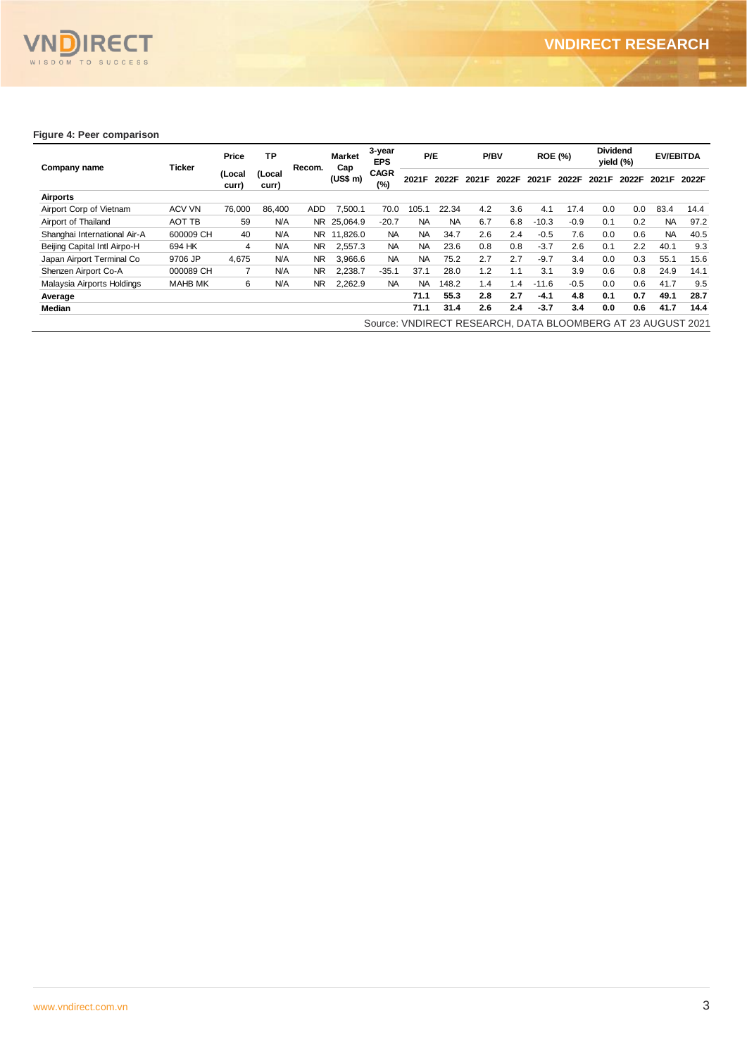

#### **Figure 4: Peer comparison**

| Company name                 |                | Price           | <b>TP</b>       |                | <b>Market</b> | 3-year<br><b>EPS</b> | P/E       |           |                    | P/BV  |         | <b>ROE (%)</b> | <b>Dividend</b><br>yield (%) |       |           | <b>EV/EBITDA</b> |       |       |
|------------------------------|----------------|-----------------|-----------------|----------------|---------------|----------------------|-----------|-----------|--------------------|-------|---------|----------------|------------------------------|-------|-----------|------------------|-------|-------|
|                              | Ticker         | (Local<br>curr) | (Local<br>curr) | Recom.         |               | (US\$ m)             |           | Cap       | <b>CAGR</b><br>(%) | 2021F | 2022F   | 2021F          | 2022F                        | 2021F | 2022F     | 2021F            | 2022F | 2021F |
| Airports                     |                |                 |                 |                |               |                      |           |           |                    |       |         |                |                              |       |           |                  |       |       |
| Airport Corp of Vietnam      | <b>ACV VN</b>  | 76,000          | 86,400          | ADD.           | 7,500.1       | 70.0                 | 105.1     | 22.34     | 4.2                | 3.6   | 4.1     | 17.4           | 0.0                          | 0.0   | 83.4      | 14.4             |       |       |
| Airport of Thailand          | AOT TB         | 59              | <b>N/A</b>      | NR.            | 25,064.9      | $-20.7$              | <b>NA</b> | <b>NA</b> | 6.7                | 6.8   | $-10.3$ | $-0.9$         | 0.1                          | 0.2   | <b>NA</b> | 97.2             |       |       |
| Shanghai International Air-A | 600009 CH      | 40              | <b>N/A</b>      |                | NR 11,826.0   | <b>NA</b>            | <b>NA</b> | 34.7      | 2.6                | 2.4   | $-0.5$  | 7.6            | 0.0                          | 0.6   | <b>NA</b> | 40.5             |       |       |
| Beijing Capital Intl Airpo-H | 694 HK         | 4               | <b>N/A</b>      | NR.            | 2,557.3       | <b>NA</b>            | <b>NA</b> | 23.6      | 0.8                | 0.8   | $-3.7$  | 2.6            | 0.1                          | 2.2   | 40.1      | 9.3              |       |       |
| Japan Airport Terminal Co    | 9706 JP        | 4,675           | <b>N/A</b>      | N <sub>R</sub> | 3,966.6       | <b>NA</b>            | <b>NA</b> | 75.2      | 2.7                | 2.7   | $-9.7$  | 3.4            | 0.0                          | 0.3   | 55.1      | 15.6             |       |       |
| Shenzen Airport Co-A         | 000089 CH      | 7               | <b>N/A</b>      | NR.            | 2,238.7       | $-35.1$              | 37.1      | 28.0      | 1.2                | 1.1   | 3.1     | 3.9            | 0.6                          | 0.8   | 24.9      | 14.1             |       |       |
| Malaysia Airports Holdings   | <b>MAHB MK</b> | 6               | N/A             | N <sub>R</sub> | 2,262.9       | <b>NA</b>            | <b>NA</b> | 148.2     | 1.4                | 1.4   | $-11.6$ | $-0.5$         | 0.0                          | 0.6   | 41.7      | 9.5              |       |       |
| Average                      |                |                 |                 |                |               |                      | 71.1      | 55.3      | 2.8                | 2.7   | $-4.1$  | 4.8            | 0.1                          | 0.7   | 49.1      | 28.7             |       |       |
| Median                       |                |                 |                 |                |               |                      | 71.1      | 31.4      | 2.6                | 2.4   | $-3.7$  | 3.4            | 0.0                          | 0.6   | 41.7      | 14.4             |       |       |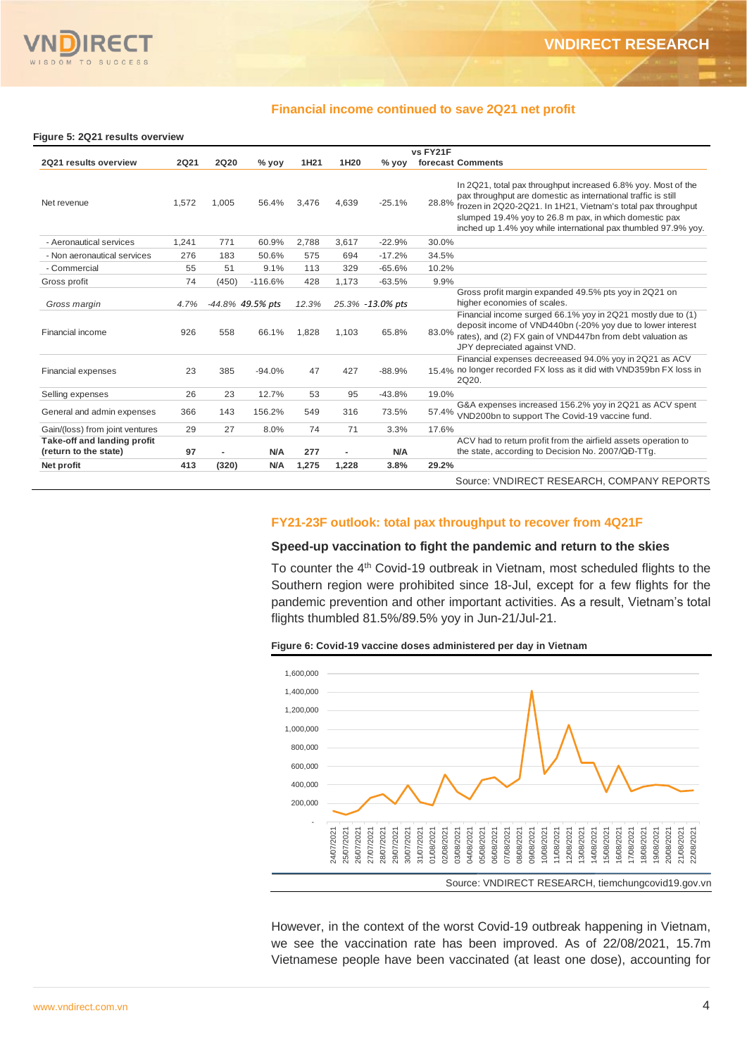

#### **Financial income continued to save 2Q21 net profit**

#### **Figure 5: 2Q21 results overview**

|                                                      |       |             |                  |                  |                |                  | vs FY21F                                                                                                                                                                                                                                                                                                                            |
|------------------------------------------------------|-------|-------------|------------------|------------------|----------------|------------------|-------------------------------------------------------------------------------------------------------------------------------------------------------------------------------------------------------------------------------------------------------------------------------------------------------------------------------------|
| 2Q21 results overview                                | 2Q21  | <b>2Q20</b> | $%$ yoy          | 1H <sub>21</sub> | 1H20           | $%$ yoy          | forecast Comments                                                                                                                                                                                                                                                                                                                   |
| Net revenue                                          | 1.572 | 1.005       | 56.4%            | 3,476            | 4,639          | $-25.1%$         | In 2Q21, total pax throughput increased 6.8% yoy. Most of the<br>pax throughput are domestic as international traffic is still<br>28.8%<br>frozen in 2Q20-2Q21. In 1H21, Vietnam's total pax throughput<br>slumped 19.4% yoy to 26.8 m pax, in which domestic pax<br>inched up 1.4% yoy while international pax thumbled 97.9% yoy. |
| - Aeronautical services                              | 1,241 | 771         | 60.9%            | 2,788            | 3,617          | $-22.9%$         | 30.0%                                                                                                                                                                                                                                                                                                                               |
| - Non aeronautical services                          | 276   | 183         | 50.6%            | 575              | 694            | $-17.2%$         | 34.5%                                                                                                                                                                                                                                                                                                                               |
| - Commercial                                         | 55    | 51          | 9.1%             | 113              | 329            | $-65.6%$         | 10.2%                                                                                                                                                                                                                                                                                                                               |
| Gross profit                                         | 74    | (450)       | $-116.6%$        | 428              | 1,173          | $-63.5%$         | 9.9%                                                                                                                                                                                                                                                                                                                                |
| Gross margin                                         | 4.7%  |             | -44.8% 49.5% pts | 12.3%            |                | 25.3% -13.0% pts | Gross profit margin expanded 49.5% pts yoy in 2Q21 on<br>higher economies of scales.                                                                                                                                                                                                                                                |
| Financial income                                     | 926   | 558         | 66.1%            | 1.828            | 1,103          | 65.8%            | Financial income surged 66.1% yoy in 2Q21 mostly due to (1)<br>deposit income of VND440bn (-20% yoy due to lower interest<br>83.0%<br>rates), and (2) FX gain of VND447bn from debt valuation as<br>JPY depreciated against VND.                                                                                                    |
| <b>Financial expenses</b>                            | 23    | 385         | $-94.0%$         | 47               | 427            | $-88.9%$         | Financial expenses decreeased 94.0% yoy in 2Q21 as ACV<br>15.4% no longer recorded FX loss as it did with VND359bn FX loss in<br>2Q20.                                                                                                                                                                                              |
| Selling expenses                                     | 26    | 23          | 12.7%            | 53               | 95             | $-43.8%$         | 19.0%                                                                                                                                                                                                                                                                                                                               |
| General and admin expenses                           | 366   | 143         | 156.2%           | 549              | 316            | 73.5%            | G&A expenses increased 156.2% yoy in 2Q21 as ACV spent<br>57.4% VND200bn to support The Covid-19 vaccine fund.                                                                                                                                                                                                                      |
| Gain/(loss) from joint ventures                      | 29    | 27          | 8.0%             | 74               | 71             | 3.3%             | 17.6%                                                                                                                                                                                                                                                                                                                               |
| Take-off and landing profit<br>(return to the state) | 97    |             | <b>N/A</b>       | 277              | $\blacksquare$ | <b>N/A</b>       | ACV had to return profit from the airfield assets operation to<br>the state, according to Decision No. 2007/QD-TTg.                                                                                                                                                                                                                 |
| Net profit                                           | 413   | (320)       | <b>N/A</b>       | 1,275            | 1,228          | 3.8%             | 29.2%                                                                                                                                                                                                                                                                                                                               |
|                                                      |       |             |                  |                  |                |                  | Source: VNDIRECT RESEARCH, COMPANY REPORTS                                                                                                                                                                                                                                                                                          |

#### **FY21-23F outlook: total pax throughput to recover from 4Q21F**

#### **Speed-up vaccination to fight the pandemic and return to the skies**

To counter the 4<sup>th</sup> Covid-19 outbreak in Vietnam, most scheduled flights to the Southern region were prohibited since 18-Jul, except for a few flights for the pandemic prevention and other important activities. As a result, Vietnam's total flights thumbled 81.5%/89.5% yoy in Jun-21/Jul-21.





However, in the context of the worst Covid-19 outbreak happening in Vietnam, we see the vaccination rate has been improved. As of 22/08/2021, 15.7m Vietnamese people have been vaccinated (at least one dose), accounting for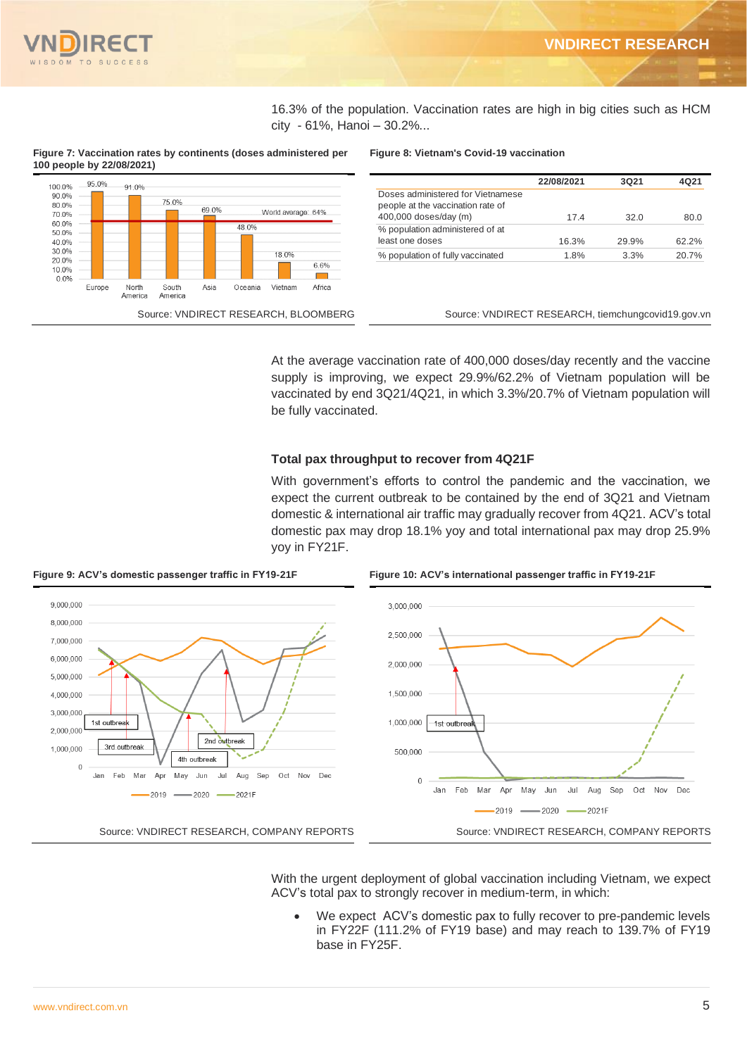

16.3% of the population. Vaccination rates are high in big cities such as HCM city - 61%, Hanoi – 30.2%...

**Figure 7: Vaccination rates by continents (doses administered per 100 people by 22/08/2021)**



#### **Figure 8: Vietnam's Covid-19 vaccination**

|                                   | 22/08/2021 | 3Q21  | 4021  |
|-----------------------------------|------------|-------|-------|
| Doses administered for Vietnamese |            |       |       |
| people at the vaccination rate of |            |       |       |
| 400,000 doses/day (m)             | 174        | 32 O  | 80.0  |
| % population administered of at   |            |       |       |
| least one doses                   | 16.3%      | 29.9% | 62.2% |
| % population of fully vaccinated  | 1.8%       | 3.3%  | 20.7% |
|                                   |            |       |       |

Source: VNDIRECT RESEARCH, BLOOMBERG Source: VNDIRECT RESEARCH, tiemchungcovid19.gov.vn

At the average vaccination rate of 400,000 doses/day recently and the vaccine supply is improving, we expect 29.9%/62.2% of Vietnam population will be vaccinated by end 3Q21/4Q21, in which 3.3%/20.7% of Vietnam population will be fully vaccinated.

#### **Total pax throughput to recover from 4Q21F**

With government's efforts to control the pandemic and the vaccination, we expect the current outbreak to be contained by the end of 3Q21 and Vietnam domestic & international air traffic may gradually recover from 4Q21. ACV's total domestic pax may drop 18.1% yoy and total international pax may drop 25.9% yoy in FY21F.



**Figure 9: ACV's domestic passenger traffic in FY19-21F Figure 10: ACV's international passenger traffic in FY19-21F**

With the urgent deployment of global vaccination including Vietnam, we expect ACV's total pax to strongly recover in medium-term, in which:

We expect ACV's domestic pax to fully recover to pre-pandemic levels in FY22F (111.2% of FY19 base) and may reach to 139.7% of FY19 base in FY25F.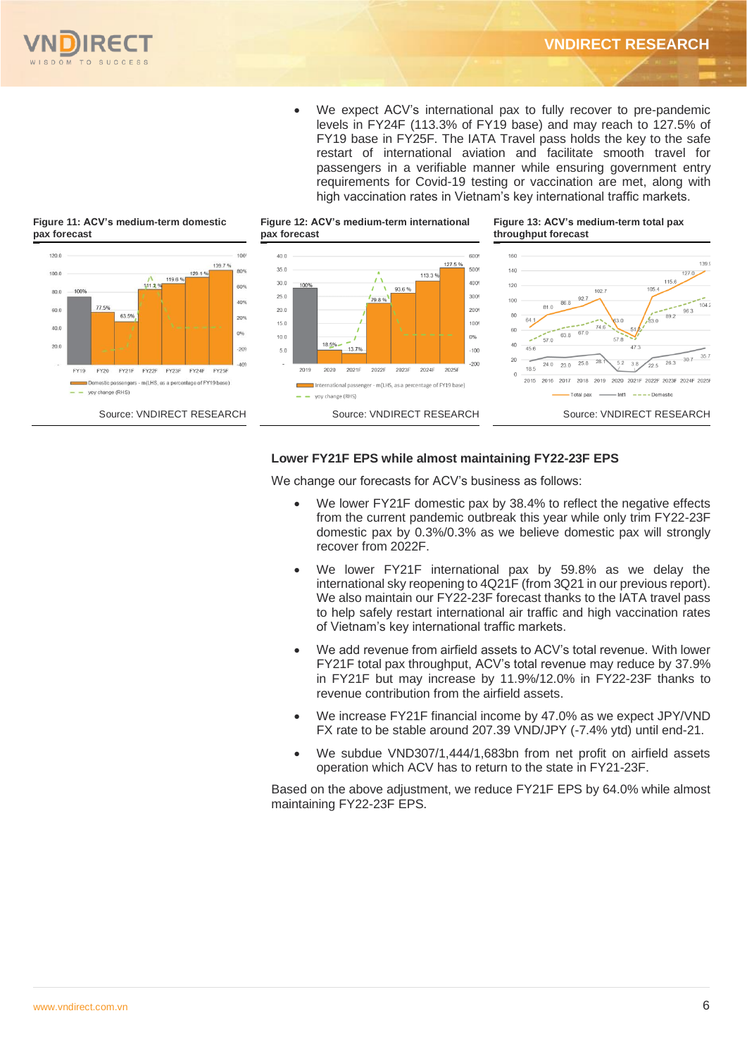

• We expect ACV's international pax to fully recover to pre-pandemic levels in FY24F (113.3% of FY19 base) and may reach to 127.5% of FY19 base in FY25F. The IATA Travel pass holds the key to the safe restart of international aviation and facilitate smooth travel for passengers in a verifiable manner while ensuring government entry requirements for Covid-19 testing or vaccination are met, along with high vaccination rates in Vietnam's key international traffic markets.



#### **Lower FY21F EPS while almost maintaining FY22-23F EPS**

We change our forecasts for ACV's business as follows:

- We lower FY21F domestic pax by 38.4% to reflect the negative effects from the current pandemic outbreak this year while only trim FY22-23F domestic pax by 0.3%/0.3% as we believe domestic pax will strongly recover from 2022F.
- We lower FY21F international pax by 59.8% as we delay the international sky reopening to 4Q21F (from 3Q21 in our previous report). We also maintain our FY22-23F forecast thanks to the IATA travel pass to help safely restart international air traffic and high vaccination rates of Vietnam's key international traffic markets.
- We add revenue from airfield assets to ACV's total revenue. With lower FY21F total pax throughput, ACV's total revenue may reduce by 37.9% in FY21F but may increase by 11.9%/12.0% in FY22-23F thanks to revenue contribution from the airfield assets.
- We increase FY21F financial income by 47.0% as we expect JPY/VND FX rate to be stable around 207.39 VND/JPY (-7.4% ytd) until end-21.
- We subdue VND307/1,444/1,683bn from net profit on airfield assets operation which ACV has to return to the state in FY21-23F.

Based on the above adjustment, we reduce FY21F EPS by 64.0% while almost maintaining FY22-23F EPS.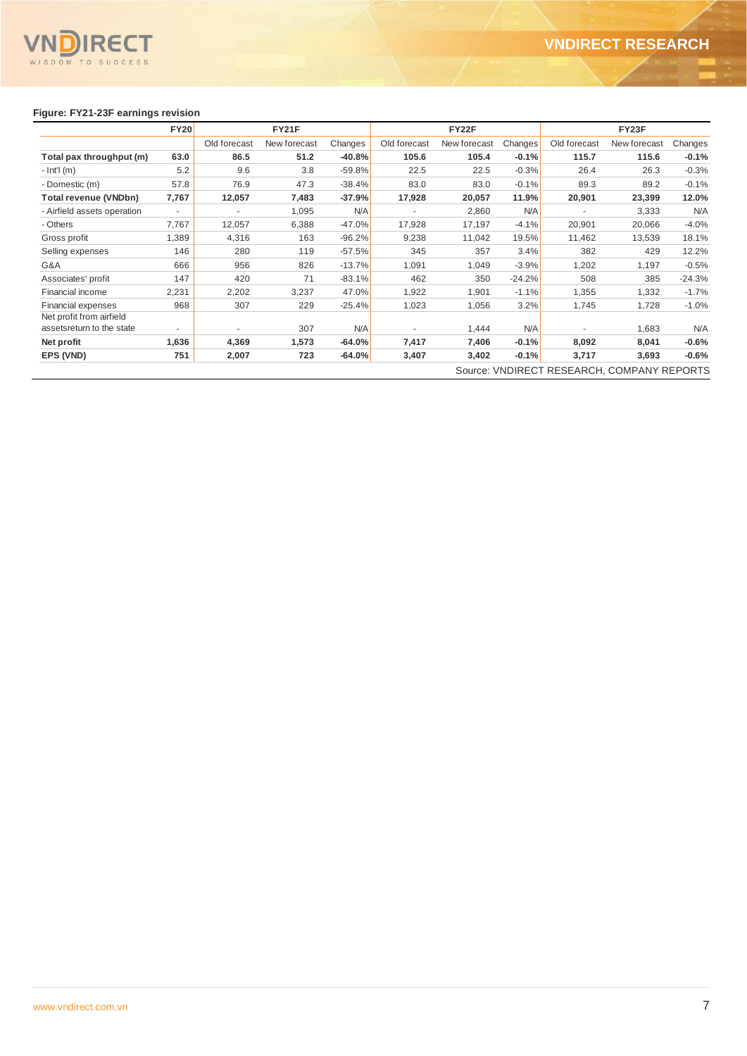

## **Figure: FY21-23F earnings revision**

|                                                       | <b>FY20</b>              | <b>FY21F</b>             |              |          |              | FY22F        |          | FY23F        |                                            |          |  |
|-------------------------------------------------------|--------------------------|--------------------------|--------------|----------|--------------|--------------|----------|--------------|--------------------------------------------|----------|--|
|                                                       |                          | Old forecast             | New forecast | Changes  | Old forecast | New forecast | Changes  | Old forecast | New forecast                               | Changes  |  |
| Total pax throughput (m)                              | 63.0                     | 86.5                     | 51.2         | $-40.8%$ | 105.6        | 105.4        | $-0.1%$  | 115.7        | 115.6                                      | $-0.1%$  |  |
| $-$ Int'l (m)                                         | 5.2                      | 9.6                      | 3.8          | $-59.8%$ | 22.5         | 22.5         | $-0.3%$  | 26.4         | 26.3                                       | $-0.3%$  |  |
| - Domestic (m)                                        | 57.8                     | 76.9                     | 47.3         | $-38.4%$ | 83.0         | 83.0         | $-0.1%$  | 89.3         | 89.2                                       | $-0.1%$  |  |
| Total revenue (VNDbn)                                 | 7,767                    | 12,057                   | 7,483        | $-37.9%$ | 17,928       | 20,057       | 11.9%    | 20,901       | 23,399                                     | 12.0%    |  |
| - Airfield assets operation                           | $\overline{\phantom{a}}$ | $\overline{\phantom{a}}$ | 1,095        | N/A      | ٠            | 2,860        | N/A      |              | 3,333                                      | N/A      |  |
| - Others                                              | 7,767                    | 12,057                   | 6,388        | $-47.0%$ | 17,928       | 17,197       | $-4.1%$  | 20,901       | 20,066                                     | $-4.0%$  |  |
| Gross profit                                          | 1,389                    | 4,316                    | 163          | $-96.2%$ | 9,238        | 11,042       | 19.5%    | 11,462       | 13,539                                     | 18.1%    |  |
| Selling expenses                                      | 146                      | 280                      | 119          | $-57.5%$ | 345          | 357          | 3.4%     | 382          | 429                                        | 12.2%    |  |
| G&A                                                   | 666                      | 956                      | 826          | $-13.7%$ | 1,091        | 1,049        | $-3.9%$  | 1,202        | 1,197                                      | $-0.5%$  |  |
| Associates' profit                                    | 147                      | 420                      | 71           | $-83.1%$ | 462          | 350          | $-24.2%$ | 508          | 385                                        | $-24.3%$ |  |
| Financial income                                      | 2,231                    | 2,202                    | 3,237        | 47.0%    | 1,922        | 1,901        | $-1.1%$  | 1,355        | 1,332                                      | $-1.7%$  |  |
| <b>Financial expenses</b>                             | 968                      | 307                      | 229          | $-25.4%$ | 1,023        | 1,056        | 3.2%     | 1,745        | 1,728                                      | $-1.0%$  |  |
| Net profit from airfield<br>assetsreturn to the state | $\overline{a}$           |                          | 307          | N/A      |              | 1,444        | N/A      |              | 1,683                                      | N/A      |  |
| Net profit                                            | 1,636                    | 4,369                    | 1,573        | $-64.0%$ | 7,417        | 7,406        | $-0.1%$  | 8,092        | 8,041                                      | $-0.6%$  |  |
| EPS (VND)                                             | 751                      | 2,007                    | 723          | $-64.0%$ | 3,407        | 3,402        | $-0.1%$  | 3,717        | 3,693                                      | $-0.6%$  |  |
|                                                       |                          |                          |              |          |              |              |          |              | Source: VNDIRECT RESEARCH, COMPANY REPORTS |          |  |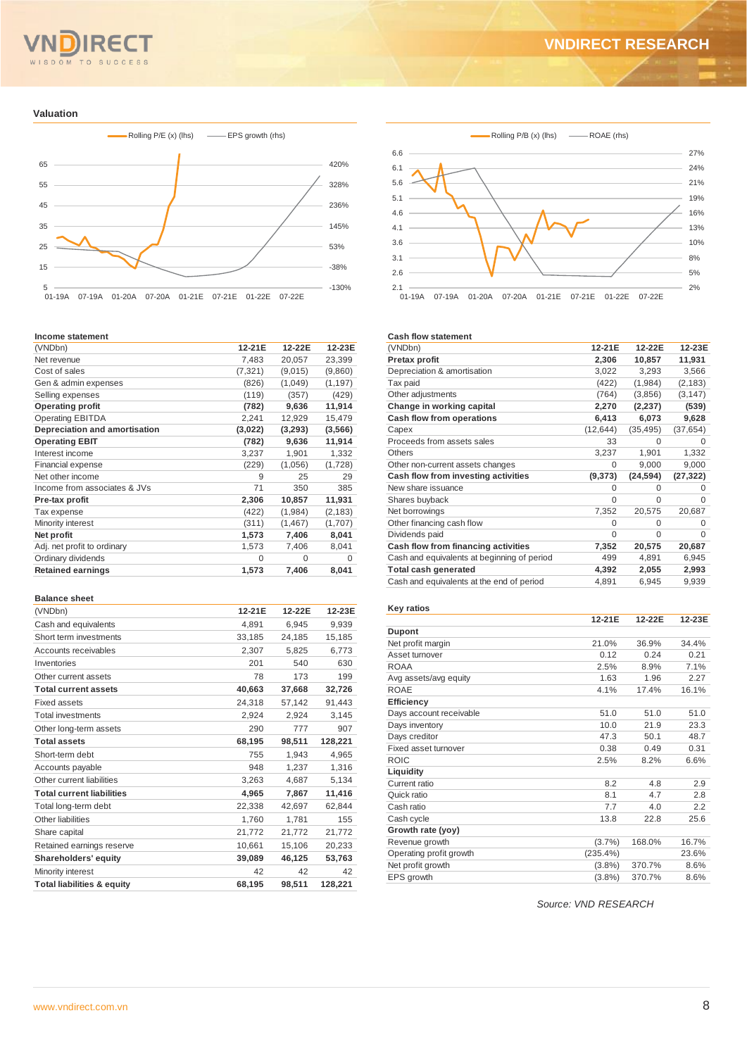# SDOM TO SUCCESS

#### **Valuation**



#### **Income statement**

| (VNDbn)                       | 12-21E   | 12-22E   | 12-23E   |
|-------------------------------|----------|----------|----------|
| Net revenue                   | 7,483    | 20,057   | 23,399   |
| Cost of sales                 | (7, 321) | (9,015)  | (9,860)  |
| Gen & admin expenses          | (826)    | (1,049)  | (1, 197) |
| Selling expenses              | (119)    | (357)    | (429)    |
| <b>Operating profit</b>       | (782)    | 9,636    | 11,914   |
| <b>Operating EBITDA</b>       | 2,241    | 12,929   | 15,479   |
| Depreciation and amortisation | (3,022)  | (3, 293) | (3,566)  |
| <b>Operating EBIT</b>         | (782)    | 9,636    | 11,914   |
| Interest income               | 3,237    | 1,901    | 1,332    |
| <b>Financial expense</b>      | (229)    | (1,056)  | (1,728)  |
| Net other income              | 9        | 25       | 29       |
| Income from associates & JVs  | 71       | 350      | 385      |
| Pre-tax profit                | 2,306    | 10,857   | 11,931   |
| Tax expense                   | (422)    | (1,984)  | (2, 183) |
| Minority interest             | (311)    | (1, 467) | (1,707)  |
| Net profit                    | 1,573    | 7,406    | 8,041    |
| Adj. net profit to ordinary   | 1,573    | 7,406    | 8,041    |
| Ordinary dividends            | $\Omega$ | $\Omega$ | $\Omega$ |
| <b>Retained earnings</b>      | 1,573    | 7,406    | 8,041    |
|                               |          |          |          |

#### **Balance sheet**

| (VNDbn)                               | 12-21E | 12-22E | 12-23E  |
|---------------------------------------|--------|--------|---------|
| Cash and equivalents                  | 4,891  | 6.945  | 9,939   |
| Short term investments                | 33,185 | 24,185 | 15,185  |
| Accounts receivables                  | 2,307  | 5,825  | 6,773   |
| Inventories                           | 201    | 540    | 630     |
| Other current assets                  | 78     | 173    | 199     |
| <b>Total current assets</b>           | 40,663 | 37,668 | 32,726  |
| <b>Fixed assets</b>                   | 24,318 | 57,142 | 91,443  |
| <b>Total investments</b>              | 2,924  | 2,924  | 3,145   |
| Other long-term assets                | 290    | 777    | 907     |
| <b>Total assets</b>                   | 68,195 | 98,511 | 128,221 |
| Short-term debt                       | 755    | 1,943  | 4,965   |
| Accounts payable                      | 948    | 1,237  | 1,316   |
| Other current liabilities             | 3,263  | 4.687  | 5,134   |
| <b>Total current liabilities</b>      | 4,965  | 7,867  | 11,416  |
| Total long-term debt                  | 22,338 | 42,697 | 62,844  |
| Other liabilities                     | 1,760  | 1,781  | 155     |
| Share capital                         | 21,772 | 21,772 | 21,772  |
| Retained earnings reserve             | 10,661 | 15,106 | 20,233  |
| Shareholders' equity                  | 39,089 | 46,125 | 53,763  |
| Minority interest                     | 42     | 42     | 42      |
| <b>Total liabilities &amp; equity</b> | 68,195 | 98.511 | 128.221 |



#### **Cash flow statement**

| 12-21E    | 12-22E    | 12-23E    |
|-----------|-----------|-----------|
| 2,306     | 10,857    | 11,931    |
| 3,022     | 3,293     | 3,566     |
| (422)     | (1,984)   | (2, 183)  |
| (764)     | (3,856)   | (3, 147)  |
| 2,270     | (2, 237)  | (539)     |
| 6,413     | 6,073     | 9,628     |
| (12, 644) | (35, 495) | (37, 654) |
| 33        | O         | O         |
| 3,237     | 1,901     | 1,332     |
| 0         | 9,000     | 9,000     |
| (9,373)   | (24, 594) | (27, 322) |
| 0         | U         | O         |
| $\Omega$  | U         | O         |
| 7,352     | 20,575    | 20,687    |
| 0         | U         | 0         |
| $\Omega$  | $\Omega$  | $\Omega$  |
| 7,352     | 20,575    | 20,687    |
| 499       | 4,891     | 6,945     |
| 4,392     | 2,055     | 2,993     |
| 4,891     | 6,945     | 9,939     |
|           |           |           |

#### **Key ratios**

|                         | 12-21E   | 12-22E | 12-23E |
|-------------------------|----------|--------|--------|
| <b>Dupont</b>           |          |        |        |
| Net profit margin       | 21.0%    | 36.9%  | 34.4%  |
| Asset turnover          | 0.12     | 0.24   | 0.21   |
| <b>ROAA</b>             | 2.5%     | 8.9%   | 7.1%   |
| Avg assets/avg equity   | 1.63     | 1.96   | 2.27   |
| <b>ROAE</b>             | 4.1%     | 17.4%  | 16.1%  |
| <b>Efficiency</b>       |          |        |        |
| Days account receivable | 51.0     | 51.0   | 51.0   |
| Days inventory          | 10.0     | 21.9   | 23.3   |
| Days creditor           | 47.3     | 50.1   | 48.7   |
| Fixed asset turnover    | 0.38     | 0.49   | 0.31   |
| <b>ROIC</b>             | 2.5%     | 8.2%   | 6.6%   |
| Liquidity               |          |        |        |
| Current ratio           | 8.2      | 4.8    | 2.9    |
| Quick ratio             | 8.1      | 4.7    | 2.8    |
| Cash ratio              | 7.7      | 4.0    | 2.2    |
| Cash cycle              | 13.8     | 22.8   | 25.6   |
| Growth rate (yoy)       |          |        |        |
| Revenue growth          | (3.7%)   | 168.0% | 16.7%  |
| Operating profit growth | (235.4%) |        | 23.6%  |
| Net profit growth       | (3.8%)   | 370.7% | 8.6%   |
| EPS growth              | (3.8%)   | 370.7% | 8.6%   |

*Source: VND RESEARCH*